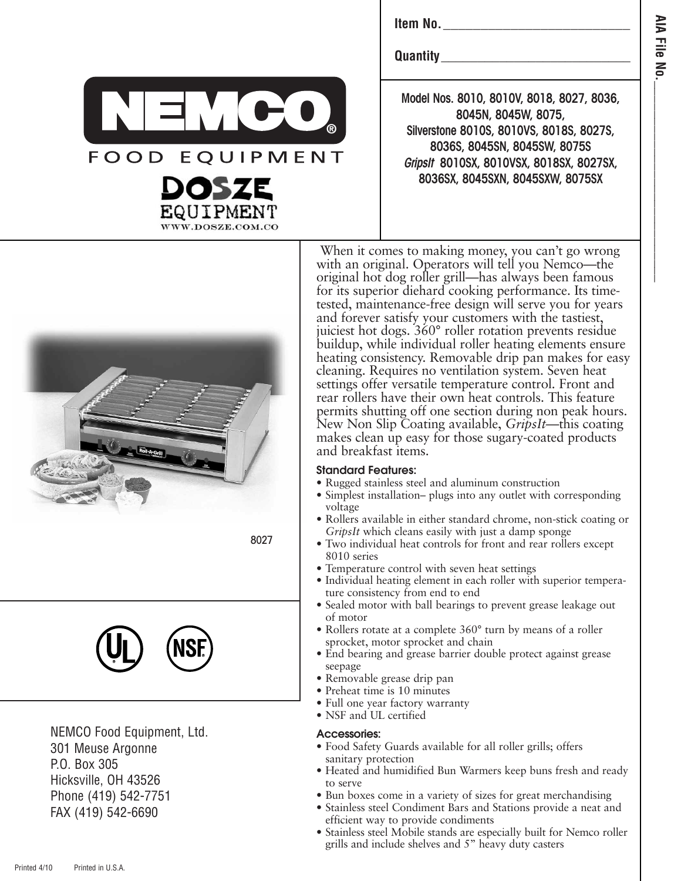**Item No.**\_\_\_\_\_\_\_\_\_\_\_\_\_\_\_\_\_\_\_\_\_\_\_\_\_

**Quantity** 

**Model Nos. 8010, 8010V, 8018, 8027, 8036, 8045N, 8045W, 8075, Silverstone 8010S, 8010VS, 8018S, 8027S, 8036S, 8045SN, 8045SW, 8075S GripsIt 8010SX, 8010VSX, 8018SX, 8027SX, 8036SX, 8045SXN, 8045SXW, 8075SX**



8027

**®**

**FOOD EQUIPMENT** 

OSZE

WWW.DOSZE.COM.CO



NEMCO Food Equipment, Ltd. 301 Meuse Argonne P.O. Box 305 Hicksville, OH 43526 Phone (419) 542-7751 FAX (419) 542-6690

When it comes to making money, you can't go wrong with an original. Operators will tell you Nemco—the original hot dog roller grill—has always been famous for its superior diehard cooking performance. Its timetested, maintenance-free design will serve you for years and forever satisfy your customers with the tastiest, juiciest hot dogs. 360° roller rotation prevents residue buildup, while individual roller heating elements ensure heating consistency. Removable drip pan makes for easy cleaning. Requires no ventilation system. Seven heat settings offer versatile temperature control. Front and rear rollers have their own heat controls. This feature permits shutting off one section during non peak hours. New Non Slip Coating available, *GripsIt*—this coating makes clean up easy for those sugary-coated products and breakfast items.

## **Standard Features:**

- Rugged stainless steel and aluminum construction
- Simplest installation– plugs into any outlet with corresponding voltage
- Rollers available in either standard chrome, non-stick coating or *GripsIt* which cleans easily with just a damp sponge
- Two individual heat controls for front and rear rollers except 8010 series
- Temperature control with seven heat settings
- Individual heating element in each roller with superior temperature consistency from end to end
- Sealed motor with ball bearings to prevent grease leakage out of motor
- Rollers rotate at a complete 360° turn by means of a roller sprocket, motor sprocket and chain
- End bearing and grease barrier double protect against grease seepage
- Removable grease drip pan
- Preheat time is 10 minutes
- Full one year factory warranty
- NSF and UL certified

## **Accessories:**

- Food Safety Guards available for all roller grills; offers sanitary protection
- Heated and humidified Bun Warmers keep buns fresh and ready to serve
- Bun boxes come in a variety of sizes for great merchandising
- Stainless steel Condiment Bars and Stations provide a neat and efficient way to provide condiments
- Stainless steel Mobile stands are especially built for Nemco roller grills and include shelves and 5" heavy duty casters